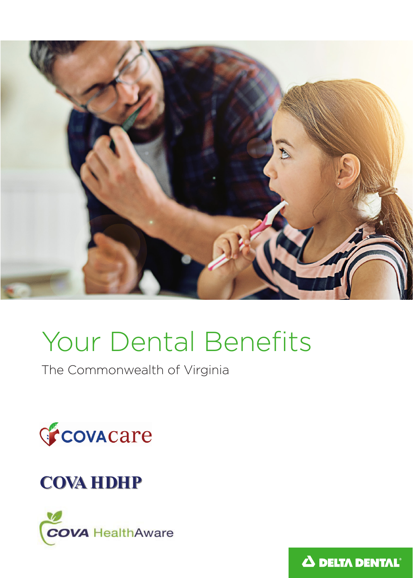

# Your Dental Benefits

The Commonwealth of Virginia



# **COVA HDHP**



Δ DELTA DENTAL<sup>®</sup>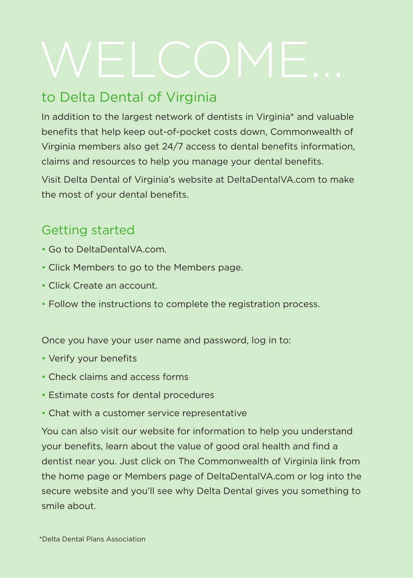# to Delta Dental of Virginia

In addition to the largest network of dentists in Virginia\* and valuable benefits that help keep out-of-pocket costs down, Commonwealth of Virginia members also get 24/7 access to dental benefits information, claims and resources to help you manage your dental benefits.

Visit Delta Dental of Virginia's website at DeltaDentalVA.com to make the most of your dental benefits.

# Getting started

- Go to DeltaDentalVA.com.
- Click Members to go to the Members page.
- Click Create an account.
- Follow the instructions to complete the registration process.

Once you have your user name and password, log in to:

- Verify your benefits
- Check claims and access forms
- Estimate costs for dental procedures
- Chat with a customer service representative

You can also visit our website for information to help you understand your benefits, learn about the value of good oral health and find a dentist near you. Just click on The Commonwealth of Virginia link from the home page or Members page of DeltaDentalVA.com or log into the secure website and you'll see why Delta Dental gives you something to smile about.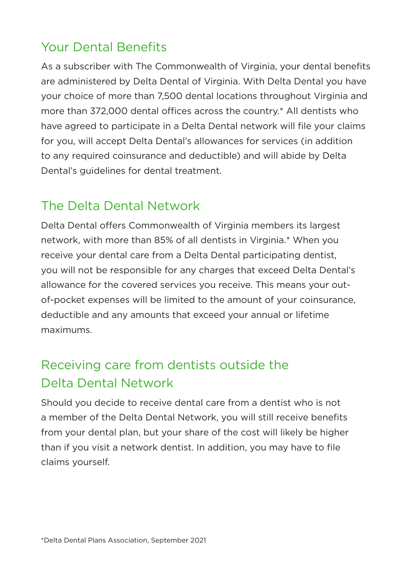# Your Dental Benefits

As a subscriber with The Commonwealth of Virginia, your dental benefits are administered by Delta Dental of Virginia. With Delta Dental you have your choice of more than 7,500 dental locations throughout Virginia and more than 372,000 dental offices across the country.\* All dentists who have agreed to participate in a Delta Dental network will file your claims for you, will accept Delta Dental's allowances for services (in addition to any required coinsurance and deductible) and will abide by Delta Dental's guidelines for dental treatment.

# The Delta Dental Network

Delta Dental offers Commonwealth of Virginia members its largest network, with more than 85% of all dentists in Virginia.\* When you receive your dental care from a Delta Dental participating dentist, you will not be responsible for any charges that exceed Delta Dental's allowance for the covered services you receive. This means your outof-pocket expenses will be limited to the amount of your coinsurance, deductible and any amounts that exceed your annual or lifetime maximums.

# Receiving care from dentists outside the Delta Dental Network

Should you decide to receive dental care from a dentist who is not a member of the Delta Dental Network, you will still receive benefits from your dental plan, but your share of the cost will likely be higher than if you visit a network dentist. In addition, you may have to file claims yourself.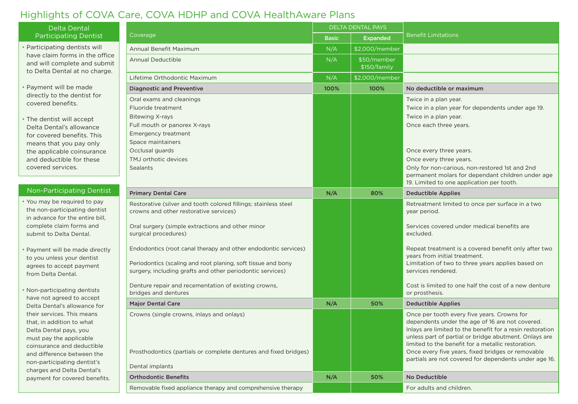# Highlights of COVA Care, COVA HDHP and COVA HealthAware Plans

| <b>Delta Dental</b>                                                                                                                                                                                                                                                                                                                                                                                                                                                                                                                                                                                                                         | Coverage                                                                                                                                                                                                                                                                                                                                                                                                                                                             | <b>DELTA DENTAL PAYS</b> |                             |                                                                                                                                                                                                                                                                                                                                                                                          |
|---------------------------------------------------------------------------------------------------------------------------------------------------------------------------------------------------------------------------------------------------------------------------------------------------------------------------------------------------------------------------------------------------------------------------------------------------------------------------------------------------------------------------------------------------------------------------------------------------------------------------------------------|----------------------------------------------------------------------------------------------------------------------------------------------------------------------------------------------------------------------------------------------------------------------------------------------------------------------------------------------------------------------------------------------------------------------------------------------------------------------|--------------------------|-----------------------------|------------------------------------------------------------------------------------------------------------------------------------------------------------------------------------------------------------------------------------------------------------------------------------------------------------------------------------------------------------------------------------------|
| <b>Participating Dentist</b>                                                                                                                                                                                                                                                                                                                                                                                                                                                                                                                                                                                                                |                                                                                                                                                                                                                                                                                                                                                                                                                                                                      | <b>Basic</b>             | <b>Expanded</b>             | <b>Benefit Limitations</b>                                                                                                                                                                                                                                                                                                                                                               |
| • Participating dentists will<br>have claim forms in the office<br>and will complete and submit<br>to Delta Dental at no charge.                                                                                                                                                                                                                                                                                                                                                                                                                                                                                                            | Annual Benefit Maximum                                                                                                                                                                                                                                                                                                                                                                                                                                               | N/A                      | \$2,000/member              |                                                                                                                                                                                                                                                                                                                                                                                          |
|                                                                                                                                                                                                                                                                                                                                                                                                                                                                                                                                                                                                                                             | <b>Annual Deductible</b>                                                                                                                                                                                                                                                                                                                                                                                                                                             | N/A                      | \$50/member<br>\$150/family |                                                                                                                                                                                                                                                                                                                                                                                          |
|                                                                                                                                                                                                                                                                                                                                                                                                                                                                                                                                                                                                                                             | Lifetime Orthodontic Maximum                                                                                                                                                                                                                                                                                                                                                                                                                                         | N/A                      | \$2,000/member              |                                                                                                                                                                                                                                                                                                                                                                                          |
| Payment will be made<br>directly to the dentist for<br>covered benefits.<br>• The dentist will accept<br>Delta Dental's allowance<br>for covered benefits. This<br>means that you pay only<br>the applicable coinsurance<br>and deductible for these<br>covered services.                                                                                                                                                                                                                                                                                                                                                                   | <b>Diagnostic and Preventive</b>                                                                                                                                                                                                                                                                                                                                                                                                                                     | 100%                     | 100%                        | No deductible or maximum                                                                                                                                                                                                                                                                                                                                                                 |
|                                                                                                                                                                                                                                                                                                                                                                                                                                                                                                                                                                                                                                             | Oral exams and cleanings<br>Fluoride treatment<br><b>Bitewing X-rays</b><br>Full mouth or panorex X-rays<br><b>Emergency treatment</b>                                                                                                                                                                                                                                                                                                                               |                          |                             | Twice in a plan year.<br>Twice in a plan year for dependents under age 19.<br>Twice in a plan year.<br>Once each three years.                                                                                                                                                                                                                                                            |
|                                                                                                                                                                                                                                                                                                                                                                                                                                                                                                                                                                                                                                             | Space maintainers<br>Occlusal guards<br>TMJ orthotic devices<br><b>Sealants</b>                                                                                                                                                                                                                                                                                                                                                                                      |                          |                             | Once every three years.<br>Once every three years.<br>Only for non-carious, non-restored 1st and 2nd<br>permanent molars for dependant children under age<br>19. Limited to one application per tooth.                                                                                                                                                                                   |
| Non-Participating Dentist                                                                                                                                                                                                                                                                                                                                                                                                                                                                                                                                                                                                                   | <b>Primary Dental Care</b>                                                                                                                                                                                                                                                                                                                                                                                                                                           | N/A                      | 80%                         | <b>Deductible Applies</b>                                                                                                                                                                                                                                                                                                                                                                |
| Vou may be required to pay<br>the non-participating dentist<br>in advance for the entire bill,<br>complete claim forms and<br>submit to Delta Dental.<br>Payment will be made directly<br>to you unless your dentist<br>agrees to accept payment<br>from Delta Dental.<br>Non-participating dentists<br>have not agreed to accept<br>Delta Dental's allowance for<br>their services. This means<br>that, in addition to what<br>Delta Dental pays, you<br>must pay the applicable<br>coinsurance and deductible<br>and difference between the<br>non-participating dentist's<br>charges and Delta Dental's<br>payment for covered benefits. | Restorative (silver and tooth colored fillings; stainless steel<br>crowns and other restorative services)<br>Oral surgery (simple extractions and other minor<br>surgical procedures)<br>Endodontics (root canal therapy and other endodontic services)<br>Periodontics (scaling and root planing, soft tissue and bony<br>surgery, including grafts and other periodontic services)<br>Denture repair and recementation of existing crowns,<br>bridges and dentures |                          |                             | Retreatment limited to once per surface in a two<br>year period.<br>Services covered under medical benefits are<br>excluded.<br>Repeat treatment is a covered benefit only after two<br>years from initial treatment.<br>Limitation of two to three years applies based on<br>services rendered.<br>Cost is limited to one half the cost of a new denture<br>or prosthesis.              |
|                                                                                                                                                                                                                                                                                                                                                                                                                                                                                                                                                                                                                                             | <b>Major Dental Care</b>                                                                                                                                                                                                                                                                                                                                                                                                                                             | N/A                      | 50%                         | <b>Deductible Applies</b>                                                                                                                                                                                                                                                                                                                                                                |
|                                                                                                                                                                                                                                                                                                                                                                                                                                                                                                                                                                                                                                             | Crowns (single crowns, inlays and onlays)<br>Prosthodontics (partials or complete dentures and fixed bridges)<br>Dental implants                                                                                                                                                                                                                                                                                                                                     |                          |                             | Once per tooth every five years. Crowns for<br>dependents under the age of 16 are not covered.<br>Inlays are limited to the benefit for a resin restoration<br>unless part of partial or bridge abutment. Onlays are<br>limited to the benefit for a metallic restoration.<br>Once every five years, fixed bridges or removable<br>partials are not covered for dependents under age 16. |
|                                                                                                                                                                                                                                                                                                                                                                                                                                                                                                                                                                                                                                             | <b>Orthodontic Benefits</b>                                                                                                                                                                                                                                                                                                                                                                                                                                          | N/A                      | 50%                         | No Deductible                                                                                                                                                                                                                                                                                                                                                                            |
|                                                                                                                                                                                                                                                                                                                                                                                                                                                                                                                                                                                                                                             | Removable fixed appliance therapy and comprehensive therapy                                                                                                                                                                                                                                                                                                                                                                                                          |                          |                             | For adults and children.                                                                                                                                                                                                                                                                                                                                                                 |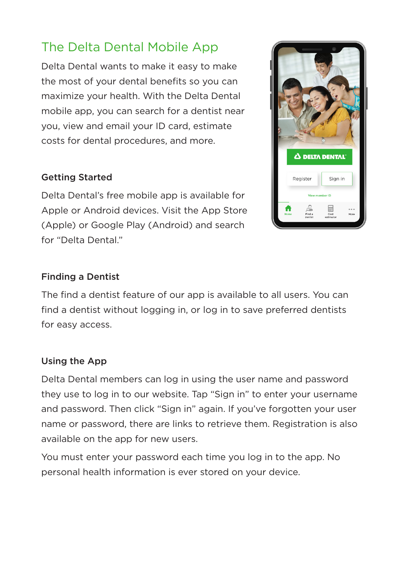# The Delta Dental Mobile App

Delta Dental wants to make it easy to make the most of your dental benefits so you can maximize your health. With the Delta Dental mobile app, you can search for a dentist near you, view and email your ID card, estimate costs for dental procedures, and more.

### Getting Started

Delta Dental's free mobile app is available for Apple or Android devices. Visit the App Store (Apple) or Google Play (Android) and search for "Delta Dental."



#### Finding a Dentist

The find a dentist feature of our app is available to all users. You can find a dentist without logging in, or log in to save preferred dentists for easy access.

#### Using the App

Delta Dental members can log in using the user name and password they use to log in to our website. Tap "Sign in" to enter your username and password. Then click "Sign in" again. If you've forgotten your user name or password, there are links to retrieve them. Registration is also available on the app for new users.

You must enter your password each time you log in to the app. No personal health information is ever stored on your device.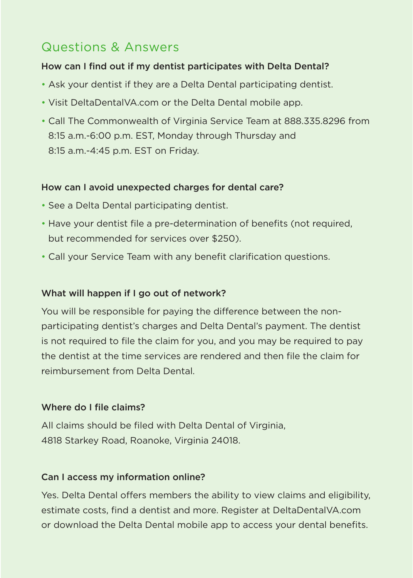## Questions & Answers

#### How can I find out if my dentist participates with Delta Dental?

- Ask your dentist if they are a Delta Dental participating dentist.
- Visit DeltaDentalVA.com or the Delta Dental mobile app.
- Call The Commonwealth of Virginia Service Team at 888.335.8296 from 8:15 a.m.-6:00 p.m. EST, Monday through Thursday and 8:15 a.m.-4:45 p.m. EST on Friday.

#### How can I avoid unexpected charges for dental care?

- See a Delta Dental participating dentist.
- Have your dentist file a pre-determination of benefits (not required, but recommended for services over \$250).
- Call your Service Team with any benefit clarification questions.

#### What will happen if I go out of network?

You will be responsible for paying the difference between the nonparticipating dentist's charges and Delta Dental's payment. The dentist is not required to file the claim for you, and you may be required to pay the dentist at the time services are rendered and then file the claim for reimbursement from Delta Dental.

#### Where do I file claims?

All claims should be filed with Delta Dental of Virginia, 4818 Starkey Road, Roanoke, Virginia 24018.

#### Can I access my information online?

Yes. Delta Dental offers members the ability to view claims and eligibility, estimate costs, find a dentist and more. Register at DeltaDentalVA.com or download the Delta Dental mobile app to access your dental benefits.